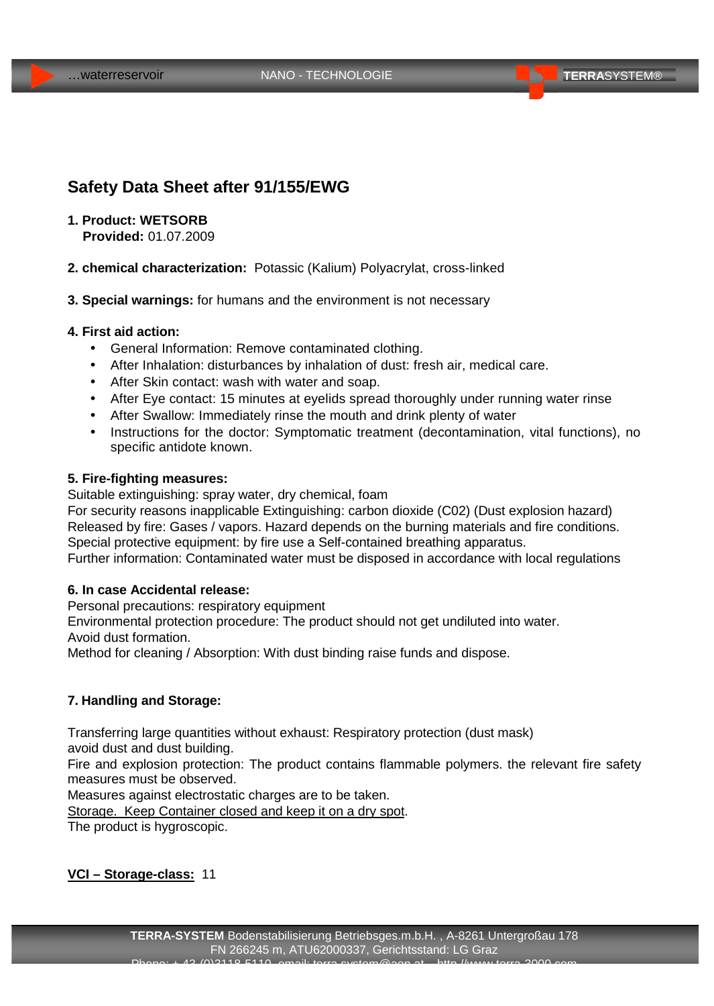# Safety Data Sheet after 91/155/EWG

1. Product: WETSORB Provided: 01.07.2009

- 2. chemical characterization: Potassic (Kalium) Polyacrylat, cross-linked
- 3. Special warnings: for humans and the environment is not necessary
- 4. First aid action:
	- General Information: Remove contaminated clothing.
	- After Inhalation: disturbances by inhalation of dust: fresh air, medical care.
	- After Skin contact: wash with water and soap.
	- After Eye contact: 15 minutes at eyelids spread thoroughly under running water rinse
	- After Swallow: Immediately rinse the mouth and drink plenty of water
	- · Instructions for the doctor: Symptomatic treatment (decontamination, vital functions), no specific antidote known.

### 5. Fire-fighting measu res:

Suitable extinguishing: spray water, dry chemical, foam

For security reasons inapplicable Extinguishing: carbon dioxide (C02) (Dust explosion hazard) Released by fire: Gases / vapors. Hazard depends on the burning materials and fire conditions. Special protective equipment: by fire use a Self-contained breathing apparatus.

Further information: Contaminated water must be disposed in accordance with local regulations

### 6. In case Accidental release:

Personal precautions: respiratory equipment

Environmental protection procedure: The product should not get undiluted into water.

Avoid dust formation.

Method for cleaning / Absorption: With dust binding raise funds and dispose.

### 7. Handling and Storage:

Transferring large quantities without exhaust: Respiratory protection (dust mask)

avoid dust and dust building.

Fire and explosion protection: The product contains flammable polymers. the relevant fire safety measures must be observed.

Measures against electrostatic charges are to be taken.

Storage. Keep Container closed and keep it on a dry spot.

The product is hygroscopic.

VCI € Storage -class: 11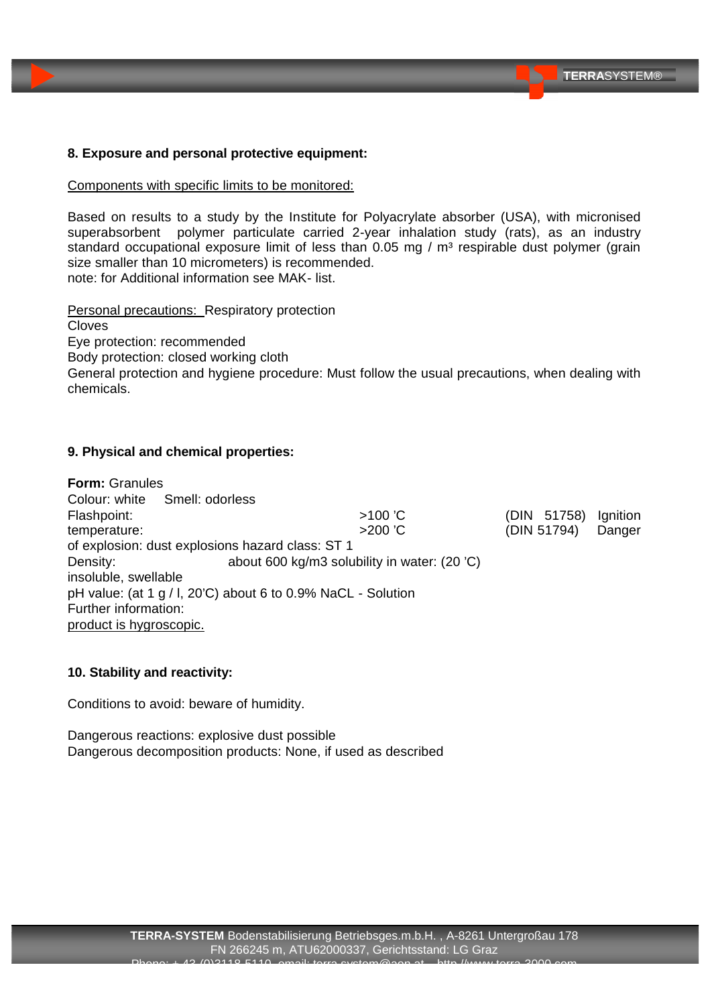8. Exposure and personal protective equipment:

## Components with specific limits to be monitored:

Based on results to a study by the Institute for Polyacrylate absorber (USA), with micronised superabsorbent polymer particulate carried 2-year inhalation study (rats), as an industry standard occupational exposure limit of less than 0.05 mg / mf respirable dust polymer (grain size smaller than 10 micrometers) is recommended. note: for Additional information see MAK- list.

Personal precautions: Respiratory protection Cloves Eye protection: recommended Body protection: closed working cloth General protection and hygiene procedure: Must follow the usual precautions, when dealing with chemicals.

9. Physical and chemical properties:

Form: Granules Colour: white Smell: odorless Flashpoint: >100 'C (DIN 51758) Ignition temperature:  $>200$  C (DIN 51794) Danger of explosion: dust explosions hazard class: ST 1 Density: about 600 kg/m3 solubility in water: (20 'C) insoluble, swellable pH value: (at 1 g / l, 20'C) about 6 to 0.9% NaCL - Solution Further information: product is hygroscopic.

10. Stability and reactivity:

Conditions to avoid: beware of humidity.

Dangerous reactions: explosive dust possible Dangerous decomposition products: None, if used as described